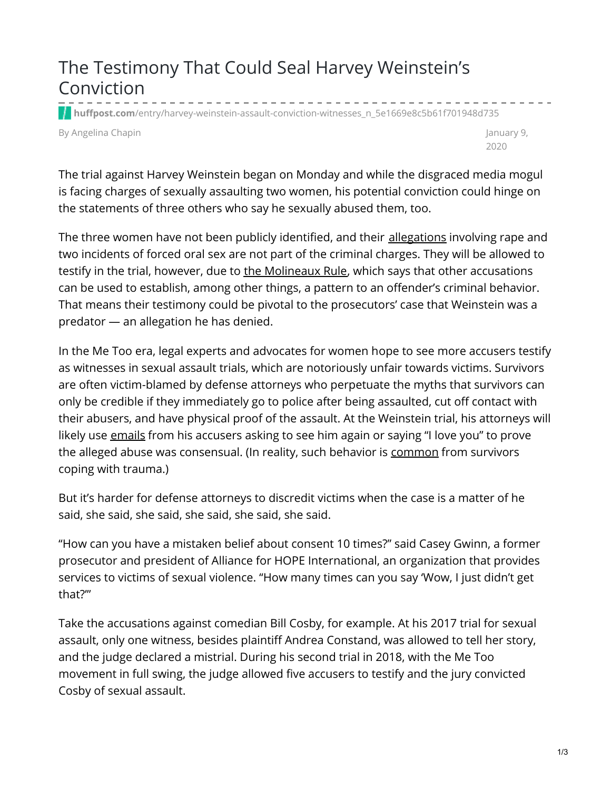## The Testimony That Could Seal Harvey Weinstein's Conviction

**huffpost.com**[/entry/harvey-weinstein-assault-conviction-witnesses\\_n\\_5e1669e8c5b61f701948d735](https://www.huffpost.com/entry/harvey-weinstein-assault-conviction-witnesses_n_5e1669e8c5b61f701948d735)

By Angelina Chapin **But and the Chapin Chapin Chapter of Chapter Chapter Chapter Chapter and Angelisa Chapter School Section 1** 

2020

The trial against Harvey Weinstein began on Monday and while the disgraced media mogul is facing charges of sexually assaulting two women, his potential conviction could hinge on the statements of three others who say he sexually abused them, too.

The three women have not been publicly identified, and their [allegations](https://www.nytimes.com/2019/08/16/nyregion/harvey-weinstein-annabella-sciorra-trial.html) involving rape and two incidents of forced oral sex are not part of the criminal charges. They will be allowed to testify in the trial, however, due to the [Molineaux](https://lawreview.syr.edu/the-molineux-rule-how-this-exception-to-the-rules-of-evidence-could-impact-the-harvey-weinstein-trial/) Rule, which says that other accusations can be used to establish, among other things, a pattern to an offender's criminal behavior. That means their testimony could be pivotal to the prosecutors' case that Weinstein was a predator ― an allegation he has denied.

In the Me Too era, legal experts and advocates for women hope to see more accusers testify as witnesses in sexual assault trials, which are notoriously unfair towards victims. Survivors are often victim-blamed by defense attorneys who perpetuate the myths that survivors can only be credible if they immediately go to police after being assaulted, cut off contact with their abusers, and have physical proof of the assault. At the Weinstein trial, his attorneys will likely use [emails](https://www.nytimes.com/2020/01/05/us/harvey-weinstein-trial.html) from his accusers asking to see him again or saying "I love you" to prove the alleged abuse was consensual. (In reality, such behavior is [common](https://www.theguardian.com/world/2016/feb/13/jian-ghomeshi-trial-sexual-assault-victims-response) from survivors coping with trauma.)

But it's harder for defense attorneys to discredit victims when the case is a matter of he said, she said, she said, she said, she said, she said.

"How can you have a mistaken belief about consent 10 times?" said Casey Gwinn, a former prosecutor and president of Alliance for HOPE International, an organization that provides services to victims of sexual violence. "How many times can you say 'Wow, I just didn't get that?'"

Take the accusations against comedian Bill Cosby, for example. At his 2017 trial for sexual assault, only one witness, besides plaintiff Andrea Constand, was allowed to tell her story, and the judge declared a mistrial. During his second trial in 2018, with the Me Too movement in full swing, the judge allowed five accusers to testify and the jury convicted Cosby of sexual assault.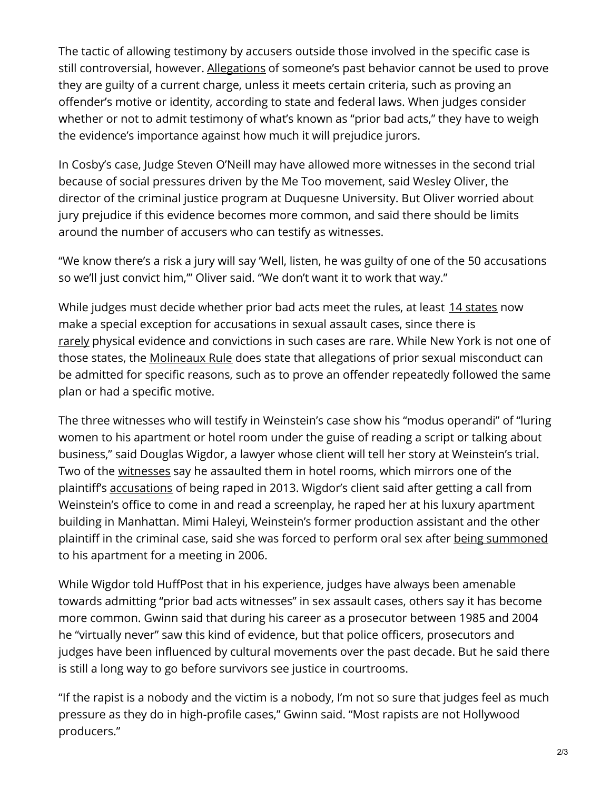The tactic of allowing testimony by accusers outside those involved in the specific case is still controversial, however. [Allegations](https://openscholarship.wustl.edu/cgi/viewcontent.cgi?article=6213&context=law_lawreview) of someone's past behavior cannot be used to prove they are guilty of a current charge, unless it meets certain criteria, such as proving an offender's motive or identity, according to state and federal laws. When judges consider whether or not to admit testimony of what's known as "prior bad acts," they have to weigh the evidence's importance against how much it will prejudice jurors.

In Cosby's case, Judge Steven O'Neill may have allowed more witnesses in the second trial because of social pressures driven by the Me Too movement, said Wesley Oliver, the director of the criminal justice program at Duquesne University. But Oliver worried about jury prejudice if this evidence becomes more common, and said there should be limits around the number of accusers who can testify as witnesses.

"We know there's a risk a jury will say 'Well, listen, he was guilty of one of the 50 accusations so we'll just convict him,'" Oliver said. "We don't want it to work that way."

While judges must decide whether prior bad acts meet the rules, at least 14 [states](https://scholarship.law.gwu.edu/cgi/viewcontent.cgi?article=2641&context=faculty_publications) now make a special exception for accusations in sexual assault cases, since there is [rarely](https://www.nytimes.com/2018/06/25/nyregion/weinstein-sexual-assault.html) physical evidence and convictions in such cases are rare. While New York is not one of those states, the [Molineaux](https://lawreview.syr.edu/the-molineux-rule-how-this-exception-to-the-rules-of-evidence-could-impact-the-harvey-weinstein-trial/) Rule does state that allegations of prior sexual misconduct can be admitted for specific reasons, such as to prove an offender repeatedly followed the same plan or had a specific motive.

The three witnesses who will testify in Weinstein's case show his "modus operandi" of "luring women to his apartment or hotel room under the guise of reading a script or talking about business," said Douglas Wigdor, a lawyer whose client will tell her story at Weinstein's trial. Two of the [witnesses](https://www.nytimes.com/2019/08/26/nyregion/harvey-weinstein-annabella-sciorra-trial-rape.html) say he assaulted them in hotel rooms, which mirrors one of the plaintiff's [accusations](https://www.nbcnewyork.com/news/local/weinstein-jury-selection-start-in-ny/2255844/) of being raped in 2013. Wigdor's client said after getting a call from Weinstein's office to come in and read a screenplay, he raped her at his luxury apartment building in Manhattan. Mimi Haleyi, Weinstein's former production assistant and the other plaintiff in the criminal case, said she was forced to perform oral sex after being [summoned](https://www.indiewire.com/2017/10/mimi-haleyi-production-assistant-harvey-weinstein-rape-1201890536/) to his apartment for a meeting in 2006.

While Wigdor told HuffPost that in his experience, judges have always been amenable towards admitting "prior bad acts witnesses" in sex assault cases, others say it has become more common. Gwinn said that during his career as a prosecutor between 1985 and 2004 he "virtually never" saw this kind of evidence, but that police officers, prosecutors and judges have been influenced by cultural movements over the past decade. But he said there is still a long way to go before survivors see justice in courtrooms.

"If the rapist is a nobody and the victim is a nobody, I'm not so sure that judges feel as much pressure as they do in high-profile cases," Gwinn said. "Most rapists are not Hollywood producers."